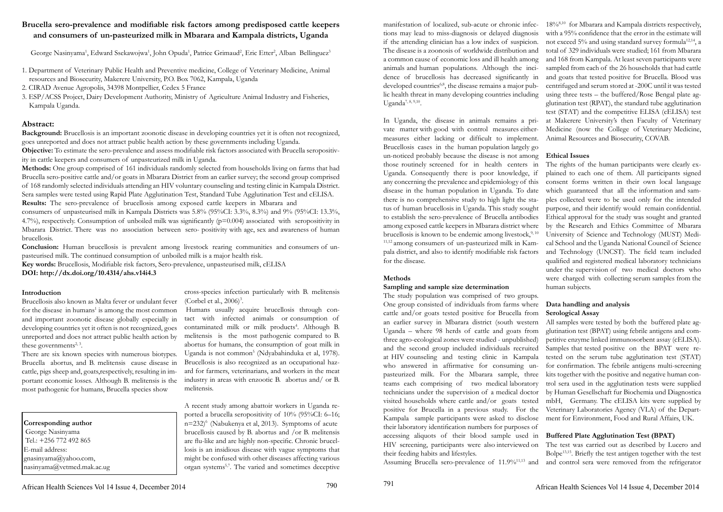# **Brucella sero-prevalence and modifiable risk factors among predisposed cattle keepers and consumers of un-pasteurized milk in Mbarara and Kampala districts, Uganda**

George Nasinyama<sup>1</sup>, Edward Ssekawojwa<sup>1</sup>, John Opuda<sup>1</sup>, Patrice Grimaud<sup>2</sup>, Eric Etter<sup>2</sup>, Alban Bellinguez<sup>3</sup>

- 1. Department of Veterinary Public Health and Preventive medicine, College of Veterinary Medicine, Animal resources and Biosecurity, Makerere University, P.O. Box 7062, Kampala, Uganda
- 2. CIRAD Avenue Agropolis, 34398 Montpellier, Cedex 5 France
- 3. ESP/ACSS Project, Dairy Development Authority, Ministry of Agriculture Animal Industry and Fisheries, Kampala Uganda.

## **Abstract:**

**Background:** Brucellosis is an important zoonotic disease in developing countries yet it is often not recognized, goes unreported and does not attract public health action by these governments including Uganda.

**Objective:** To estimate the sero-prevalence and assess modifiable risk factors associated with Brucella seropositivity in cattle keepers and consumers of unpasteurized milk in Uganda.

Brucellosis also known as Malta fever or undulant fever for the disease in humans<sup>1</sup> is among the most common and important zoonotic disease globally especially in developing countries yet it often is not recognized, goes unreported and does not attract public health action by these governments $2,3$ .

**Methods:** One group comprised of 161 individuals randomly selected from households living on farms that had Brucella sero-positive cattle and/or goats in Mbarara District from an earlier survey; the second group comprised of 168 randomly selected individuals attending an HIV voluntary counseling and testing clinic in Kampala District. Sera samples were tested using Rapid Plate Agglutination Test, Standard Tube Agglutination Test and cELISA. **Results:** The sero-prevalence of brucellosis among exposed cattle keepers in Mbarara and

> cross-species infection particularly with B. melitensis (Corbel et al.,  $2006$ <sup>3</sup>.

consumers of unpasteurised milk in Kampala Districts was 5.8% (95%CI: 3.3%, 8.3%) and 9% (95%CI: 13.3%, 4.7%), respectively. Consumption of unboiled milk was significantly (p=0.004) associated with seropositivity in Mbarara District. There was no association between sero- positivity with age, sex and awareness of human brucellosis.

**Conclusion:** Human brucellosis is prevalent among livestock rearing communities and consumers of unpasteurised milk. The continued consumption of unboiled milk is a major health risk.

**Key words:** Brucellosis, Modifiable risk factors, Sero-prevalence, unpasteurised milk, cELISA

**DOI: http://dx.doi.org/10.4314/ahs.v14i4.3**

## **Introduction**

There are six known species with numerous biotypes. Brucella abortus, and B. melitensis cause disease in cattle, pigs sheep and, goats,respectively, resulting in important economic losses. Although B. melitensis is the most pathogenic for humans, Brucella species show

## **Corresponding author**

 George Nasinyama Tel.: +256 772 492 865 E-mail address: gnasinyama@yahoo.com, nasinyama@vetmed.mak.ac.ug

 Humans usually acquire brucellosis through contact with infected animals or consumption of contaminated milk or milk products<sup>4</sup>. Although B. melitensis is the most pathogenic compared to B. abortus for humans, the consumption of goat milk in Uganda is not common<sup>5</sup> (Ndyabahinduka et al, 1978). Brucellosis is also recognized as an occupational hazard for farmers, veterinarians, and workers in the meat industry in areas with enzootic B. abortus and/ or B. melitensis.

A recent study among abattoir workers in Uganda reported a brucella seropositivity of 10% (95%CI: 6–16; n=232)6 (Nabukenya et al, 2013). Symptoms of acute brucellosis caused by B. abortus and /or B. melitensis are flu-like and are highly non-specific. Chronic brucellosis is an insidious disease with vague symptoms that might be confused with other diseases affecting various organ systems5,7. The varied and sometimes deceptive

## **Methods**

manifestation of localized, sub-acute or chronic infections may lead to miss-diagnosis or delayed diagnosis if the attending clinician has a low index of suspicion. The disease is a zoonosis of worldwide distribution and a common cause of economic loss and ill health among animals and human populations. Although the incidence of brucellosis has decreased significantly in developed countries<sup>6,8</sup>, the disease remains a major public health threat in many developing countries including Uganda<sup>7, 8, 9,10</sup>. In Uganda, the disease in animals remains a private matter with good with control measures eithermeasures either lacking or difficult to implement.  $18\%^{8,10}$  for Mbarara and Kampala districts respectively, with a 95% confidence that the error in the estimate will not exceed 5% and using standard survey formula<sup>12,14</sup>, a total of 329 individuals were studied; 161 from Mbarara and 168 from Kampala. At least seven participants were sampled from each of the 26 households that had cattle and goats that tested positive for Brucella. Blood was centrifuged and serum stored at -200C until it was tested using three tests – the buffered/Rose Bengal plate agglutination test (RPAT), the standard tube agglutination test (STAT) and the competitive ELISA (cELISA) test at Makerere University's then Faculty of Veterinary Medicine (now the College of Veterinary Medicine, Animal Resources and Biosecurity, COVAB.

Brucellosis cases in the human population largely go un-noticed probably because the disease is not among those routinely screened for in health centers in Uganda. Consequently there is poor knowledge, if any concerning the prevalence and epidemiology of this consent forms written in their own local language disease in the human population in Uganda. To date there is no comprehensive study to high light the status of human brucellosis in Uganda. This study sought to establish the sero-prevalence of Brucella antibodies among exposed cattle keepers in Mbarara district where brucellosis is known to be endemic among livestock, $9,10$ 11,12 among consumers of un-pasteurized milk in Kampala district, and also to identify modifiable risk factors for the disease. **Sampling and sample size determination Ethical Issues** The rights of the human participants were clearly explained to each one of them. All participants signed which guaranteed that all the information and samples collected were to be used only for the intended purpose, and their identify would remain confidential. Ethical approval for the study was sought and granted by the Research and Ethics Committee of Mbarara University of Science and Technology (MUST) Medical School and the Uganda National Council of Science and Technology (UNCST). The field team included qualified and registered medical laboratory technicians under the supervision of two medical doctors who were charged with collecting serum samples from the human subjects.

The study population was comprised of two groups. One group consisted of individuals from farms where cattle and/or goats tested positive for Brucella from an earlier survey in Mbarara district (south western Uganda – where 98 herds of cattle and goats from three agro-ecological zones were studied - unpublished) and the second group included individuals recruited at HIV counseling and testing clinic in Kampala who answered in affirmative for consuming unpasteurized milk. For the Mbarara sample, three teams each comprising of two medical laboratory technicians under the supervision of a medical doctor visited households where cattle and/or goats tested positive for Brucella in a previous study. For the Kampala sample participants were asked to disclose their laboratory identification numbers for purposes of accessing aliquots of their blood sample used in HIV screening, participants were also interviewed on The test was carried out as described by Lucero and their feeding habits and lifestyles. **Data handling and analysis Serological Assay** All samples were tested by both the buffered plate agglutination test (BPAT) using febrile antigens and competitive enzyme linked immunosorbent assay (cELISA). Samples that tested positive on the BPAT were retested on the serum tube agglutination test (STAT) for confirmation. The febrile antigens multi-screening kits together with the positive and negative human control sera used in the agglutination tests were supplied by Human Gesellschaft fur Biochemia und Diagnostica mbH, Germany. The cELISA kits were supplied by Veterinary Laboratories Agency (VLA) of the Department for Environment, Food and Rural Affairs, UK. **Buffered Plate Agglutination Test (BPAT)** Bolpe13,15. Briefly the test antigen together with the test

Assuming Brucella sero-prevalence of 11.9%<sup>11,13</sup> and and control sera were removed from the refrigerator

790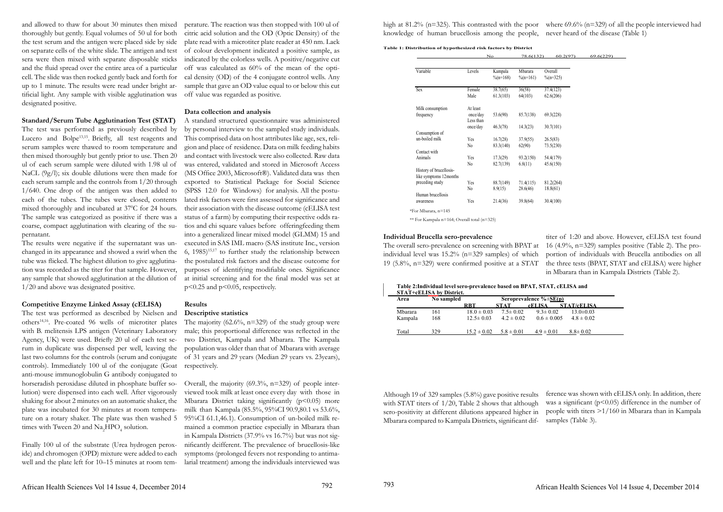and allowed to thaw for about 30 minutes then mixed thoroughly but gently. Equal volumes of 50 ul for both the test serum and the antigen were placed side by side on separate cells of the white slide. The antigen and test sera were then mixed with separate disposable sticks and the fluid spread over the entire area of a particular cell. The slide was then rocked gently back and forth for up to 1 minute. The results were read under bright artificial light. Any sample with visible agglutination was designated positive.

### **Standard/Serum Tube Agglutination Test (STAT)**

The test was performed as described by Nielsen and others14,16. Pre-coated 96 wells of microtiter plates with B. melitensis LPS antigen (Veterinary Laboratory Agency, UK) were used. Briefly 20 ul of each test serum in duplicate was dispensed per well, leaving the last two columns for the controls (serum and conjugate controls). Immediately 100 ul of the conjugate (Goat respectively. anti-mouse immunoglobulin G antibody conjugated to horseradish peroxidase diluted in phosphate buffer solution) were dispensed into each well. After vigorously shaking for about 2 minutes on an automatic shaker, the plate was incubated for 30 minutes at room temperature on a rotary shaker. The plate was then washed 5 95%CI 61.1,46.1). Consumption of un-boiled milk retimes with Tween 20 and  $\rm Na_2HPO_4$  solution.

The test was performed as previously described by Lucero and Bolpe<sup>13,15</sup>. Briefly, all test reagents and serum samples were thawed to room temperature and then mixed thoroughly but gently prior to use. Then 20 ul of each serum sample were diluted with 1.98 ul of NaCL (9g/l); six double dilutions were then made for each serum sample and the controls from 1/20 through 1/640. One drop of the antigen was then added to each of the tubes. The tubes were closed, contents mixed thoroughly and incubated at 37<sup>o</sup>C for 24 hours. The sample was categorized as positive if there was a coarse, compact agglutination with clearing of the supernatant.

The results were negative if the supernatant was unchanged in its appearance and showed a swirl when the tube was flicked. The highest dilution to give agglutination was recorded as the titer for that sample. However, any sample that showed agglutination at the dilution of 1/20 and above was designated positive.

### **Competitive Enzyme Linked Assay (cELISA)**

The majority  $(62.6\%, n=329)$  of the study group were male; this proportional difference was reflected in the two District, Kampala and Mbarara. The Kampala population was older than that of Mbarara with average of 31 years and 29 years (Median 29 years vs. 23years),

Finally 100 ul of the substrate (Urea hydrogen peroxide) and chromogen (OPD) mixture were added to each well and the plate left for 10–15 minutes at room tem-

Overall, the majority  $(69.3\%, n=329)$  of people interviewed took milk at least once every day with those in Mbarara District taking significantly  $(p<0.05)$  more milk than Kampala (85.5%, 95%CI 90.9,80.1 vs 53.6%, mained a common practice especially in Mbarara than in Kampala Districts (37.9% vs 16.7%) but was not significantly deifferent. The prevalence of brucellosis-like symptoms (prolonged fevers not responding to antimalarial treatment) among the individuals interviewed was

perature. The reaction was then stopped with 100 ul of citric acid solution and the OD (Optic Density) of the plate read with a microtiter plate reader at 450 nm. Lack of colour development indicated a positive sample, as indicated by the colorless wells. A positive/negative cut off was calculated as 60% of the mean of the optical density (OD) of the 4 conjugate control wells. Any sample that gave an OD value equal to or below this cut off value was regarded as positive.

### **Data collection and analysis**

high at 81.2% (n=325). This contrasted with the poor where 69.6% (n=329) of all the people interviewed had knowledge of human brucellosis among the people, never heard of the disease (Table 1)

A standard structured questionnaire was administered by personal interview to the sampled study individuals. This comprised data on host attributes like age, sex, religion and place of residence. Data on milk feeding habits and contact with livestock were also collected. Raw data was entered, validated and stored in Microsoft Access (MS Office 2003, Microsoft®). Validated data was then exported to Statistical Package for Social Science (SPSS 12.0 for Windows) for analysis. All the postulated risk factors were first assessed for significance and their association with the disease outcome (cELISA test status of a farm) by computing their respective odds ratios and chi square values before offeringfeeding them into a generalized linear mixed model (GLMM) 15 and executed in SAS IML macro (SAS institute Inc., version 6,  $1985$ <sup>15,17</sup> to further study the relationship between the postulated risk factors and the disease outcome for purposes of identifying modifiable ones. Significance at initial screening and for the final model was set at p<0.25 and p<0.05, respectively.

### **Results**

### **Descriptive statistics**

#### **Individual Brucella sero-prevalence**

The overall sero-prevalence on screening with BPAT at individual level was 15.2% (n=329 samples) of which 19 (5.8%, n=329) were confirmed positive at a STAT

titer of 1:20 and above. However, cELISA test found 16 (4.9%,  $n=329$ ) samples positive (Table 2). The proportion of individuals with Brucella antibodies on all the three tests (BPAT, STAT and cELISA) were higher in Mbarara than in Kampala Districts (Table 2).

**Table 1: Distribution of hypothesized risk factors by District**

No  $78.6(132)$ Variable Levels Kampala  $\frac{6}{n}$ =168) Mbarara  $\frac{9}{6}$ (n=161)  $Sex$  Female  $38.7(65)$   $36(58)$ Male  $61.3(103)$   $64(103)$ Milk consumption frequency At least once/day  $53.6(90)$   $85.7(138)$ Less than once/day  $46.3(78)$   $14.3(23)$ Consumption of un-boiled milk  $Yes$   $16.7(28)$   $37.9(55)$ Contact with No  $83.3(140)$   $62(90)$ Animals Yes 17.3(29) 93.2(150) History of brucellosis-No  $82.7(139)$   $6.8(11)$ like symptoms 12months preceding study  $Yes$  88.7(149) 71.4(115) Human brucellosis No  $8.9(15)$   $28.6(46)$ awareness Yes 21.4(36) 39.8(64)

**Table 2:Individual level sero-prevalence based on BPAT, STAT, cELISA and STAT+cELISA by District.**

| Area    | No sampled | Seroprevalence $\% \pm \text{SE(p)}$ |                |                 |                    |
|---------|------------|--------------------------------------|----------------|-----------------|--------------------|
|         |            | RBT                                  | <b>STAT</b>    | <b>cELISA</b>   | <b>STAT/cELISA</b> |
| Mbarara | 161        | $18.0 \pm 0.03$                      | $7.5 \pm 0.02$ | $9.3 \pm 0.02$  | $13.0 \pm 0.03$    |
| Kampala | 168        | $12.5 \pm 0.03$                      | $4.2 \pm 0.02$ | $0.6 \pm 0.005$ | $4.8 \pm 0.02$     |
|         |            |                                      |                |                 |                    |
| Total   | 329        | $15.2 \pm 0.02$                      | $5.8 \pm 0.01$ | $4.9 \pm 0.01$  | $8.8 \pm 0.02$     |

Although 19 of 329 samples (5.8%) gave positive results with STAT titers of  $1/20$ , Table 2 shows that although sero-positivity at different dilutions appeared higher in Mbarara compared to Kampala Districts, significant difference was shown with cELISA only. In addition, there was a significant  $(p<0.05)$  difference in the number of people with titers >1/160 in Mbarara than in Kampala samples (Table 3).

792

| 60.2(97)               | 69.6(229) |
|------------------------|-----------|
|                        |           |
| Overall                |           |
| $\%$ (n=325)           |           |
| $\overline{37.4(123)}$ |           |
| 62.6(206)              |           |
|                        |           |
| 69.3(228)              |           |
| 30.7(101)              |           |
| 26.5(83)               |           |
| 73.5(230)              |           |
| 54.4(179)              |           |
| 45.6(150)              |           |
|                        |           |
| 81.2(264)              |           |
| 18.8(61)               |           |
| 30.4(100)              |           |
|                        |           |

\*For Mbarara, n=145

\*\* For Kampala n=164; Overall total (n=325)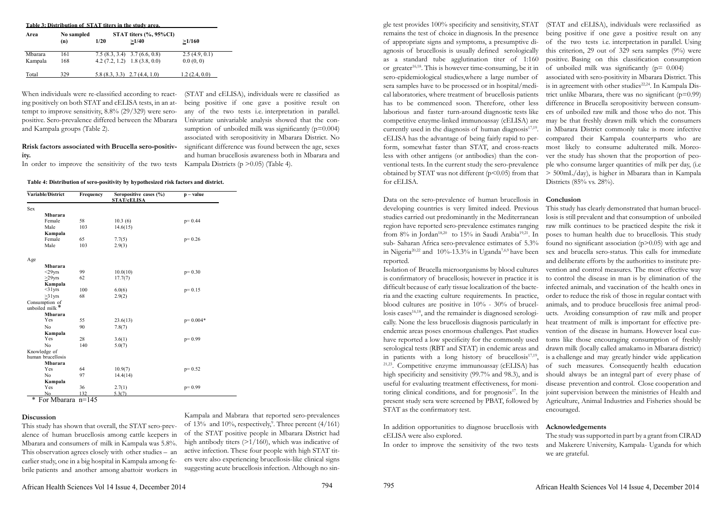### **Rrisk factors associated with Brucella sero-positivity.**

When individuals were re-classified according to reacting positively on both STAT and cELISA tests, in an attempt to improve sensitivity,  $8.8\%$  (29/329) were seropositive. Sero-prevalence differed between the Mbarara and Kampala groups (Table 2). Univariate univariable analysis showed that the con-

In order to improve the sensitivity of the two tests

sumption of unboiled milk was significantly  $(p=0.004)$ associated with seropositivity in Mbarara District. No significant difference was found between the age, sexes and human brucellosis awareness both in Mbarara and

Kampala Districts ( $p > 0.05$ ) (Table 4).

(STAT and cELISA), individuals were re classified as being positive if one gave a positive result on any of the two tests i.e. interpretation in parallel.

**Table 4: Distribution of sero-positivity by hypothesized risk factors and district.**

gle test provides 100% specificity and sensitivity, STAT remains the test of choice in diagnosis. In the presence of appropriate signs and symptoms, a presumptive diagnosis of brucellosis is usually defined serologically as a standard tube agglutination titer of 1:160 or greater $16,18$ . This is however time-consuming, be it in sero-epidemiological studies,where a large number of sera samples have to be processed or in hospital/medical laboratories, where treatment of brucellosis patients has to be commenced soon. Therefore, other less laborious and faster turn-around diagnostic tests like competitive enzyme-linked immunoassay (cELISA) are currently used in the diagnosis of human diagnosis $17,19$ . cELISA has the advantage of being fairly rapid to perform, somewhat faster than STAT, and cross-reacts less with other antigens (or antibodies) than the conventional tests. In the current study the sero-prevalence obtained by STAT was not different ( $p$ <0.05) from that for cELISA. (STAT and cELISA), individuals were reclassified as being positive if one gave a positive result on any of the two tests i.e. interpretation in parallel. Using this criterion, 29 out of 329 sera samples  $(9\%)$  were positive. Basing on this classification consumption of unboiled milk was significantly ( $p= 0.004$ ) associated with sero-positivity in Mbarara District. This is in agreement with other studies<sup>22,24</sup>. In Kampala District unlike Mbarara, there was no significant  $(p=0.99)$ difference in Brucella seropositivity between consumers of unboiled raw milk and those who do not. This may be that freshly drawn milk which the consumers in Mbarara District commonly take is more infective compared their Kampala counterparts who are most likely to consume adulterated milk. Moreover the study has shown that the proportion of people who consume larger quantities of milk per day, (i.e > 500mL/day), is higher in Mbarara than in Kampala Districts (85% vs. 28%).

### **Discussion**

This study has shown that overall, the STAT sero-prevalence of human brucellosis among cattle keepers in Mbarara and consumers of milk in Kampala was 5.8%. This observation agrees closely with other studies – an earlier study, one in a big hospital in Kampala among febrile patients and another among abattoir workers in

| Variable/District                 | Frequency | Seropositive cases (%)<br><b>STAT/cELISA</b> | $p - value$ |
|-----------------------------------|-----------|----------------------------------------------|-------------|
| Sex                               |           |                                              |             |
| <b>Mbarara</b>                    |           |                                              |             |
| Female                            | 58        | 10.3(6)                                      | $p = 0.44$  |
| Male                              | 103       | 14.6(15)                                     |             |
| Kampala                           |           |                                              |             |
| Female                            | 65        | 7.7(5)                                       | $p=0.26$    |
| Male                              | 103       | 2.9(3)                                       |             |
| Age                               |           |                                              |             |
| <b>Mbarara</b>                    |           |                                              |             |
| $<$ 29yrs                         | 99        | 10.0(10)                                     | $p=0.30$    |
| $>29$ yrs                         | 62        | 17.7(7)                                      |             |
| Kampala                           |           |                                              |             |
| $<$ 31 yrs                        | 100       | 6.0(6)                                       | $p=0.15$    |
| $>31$ yrs                         | 68        | 2.9(2)                                       |             |
| Consumption of<br>unboiled milk*  |           |                                              |             |
| <b>Mbarara</b>                    |           |                                              |             |
| Yes                               | 55        | 23.6(13)                                     | $p=0.004*$  |
| No                                | 90        | 7.8(7)                                       |             |
| Kampala                           |           |                                              |             |
| Yes                               | 28        | 3.6(1)                                       | $p=0.99$    |
| No                                | 140       | 5.0(7)                                       |             |
| Knowledge of<br>human brucellosis |           |                                              |             |
| <b>Mbarara</b>                    |           |                                              |             |
| Yes                               | 64        | 10.9(7)                                      | $p=0.52$    |
| No                                | 97        | 14.4(14)                                     |             |
| Kampala                           |           |                                              |             |
| Yes                               | 36        | 2.7(1)                                       | $p = 0.99$  |
| N <sub>0</sub>                    | 132       | 5.3(7)                                       |             |

Kampala and Mabrara that reported sero-prevalences of  $13\%$  and  $10\%$ , respectively,<sup>9</sup>. Three percent  $(4/161)$ of the STAT positive people in Mbarara District had high antibody titers (>1/160), which was indicative of active infection. These four people with high STAT titers were also experiencing brucellosis-like clinical signs suggesting acute brucellosis infection. Although no sin-

In addition opportunities to diagnose brucellosis with cELISA were also explored.

Data on the sero-prevalence of human brucellosis in developing countries is very limited indeed. Previous studies carried out predominantly in the Mediterranean region have reported sero-prevalence estimates ranging from 8% in Jordan<sup>18,20</sup> to 15% in Saudi Arabia<sup>19,21</sup>. In sub- Saharan Africa sero-prevalence estimates of 5.3% in Nigeria<sup>20,22</sup> and  $10\% - 13.3\%$  in Uganda<sup>7,6,9</sup> have been reported. Isolation of Brucella microorganisms by blood cultures is confirmatory of brucellosis; however in practice it is difficult because of early tissue localization of the bacteria and the exacting culture requirements. In practice, blood cultures are positive in 10% - 30% of brucellosis cases $16,18$ , and the remainder is diagnosed serologically. None the less brucellosis diagnosis particularly in endemic areas poses enormous challenges. Past studies have reported a low specificity for the commonly used serological tests (RBT and STAT) in endemic areas and in patients with a long history of brucellosis<sup>17,19</sup>,  $21,23$ . Competitive enzyme immunoassay (cELISA) has high specificity and sensitivity (99.7% and 98.3), and is useful for evaluating treatment effectiveness, for monitoring clinical conditions, and for prognosis<sup>17</sup>. In the present study sera were screened by PBAT, followed by **Conclusion** This study has clearly demonstrated that human brucellosis is still prevalent and that consumption of unboiled raw milk continues to be practiced despite the risk it poses to human health due to brucellosis. This study found no significant association  $(p>0.05)$  with age and sex and brucella sero-status. This calls for immediate and deliberate efforts by the authorities to institute prevention and control measures. The most effective way to control the disease in man is by elimination of the infected animals, and vaccination of the health ones in order to reduce the risk of those in regular contact with animals, and to produce brucellosis free animal products. Avoiding consumption of raw milk and proper heat treatment of milk is important for effective prevention of the disease in humans. However local customs like those encouraging consumption of freshly drawn milk (locally called amakamo in Mbarara district) is a challenge and may greatly hinder wide application of such measures. Consequently health education should always be an integral part of every phase of disease prevention and control. Close cooperation and joint supervision between the ministries of Health and Agriculture, Animal Industries and Fisheries should be

STAT as the confirmatory test. encouraged.

In order to improve the sensitivity of the two tests The study was supported in part by a grant from CIRAD and Makerere University, Kampala- Uganda for which we are grateful.

#### **Acknowledgements**

794

| Table 3: Distribution of STAT titers in the study area. |                   |                                 |                                                                    |                            |  |  |  |
|---------------------------------------------------------|-------------------|---------------------------------|--------------------------------------------------------------------|----------------------------|--|--|--|
| Area                                                    | No sampled<br>(n) | <b>1/20</b>                     | STAT titers $(\%$ , 95%CI)<br>>1/40                                | >1/160                     |  |  |  |
| Mbarara<br>Kampala                                      | 161<br>168        |                                 | $7.5(8.3, 3.4)$ 3.7 (6.6, 0.8)<br>$4.2(7.2, 1.2)$ 1.8 $(3.8, 0.0)$ | 2.5(4.9, 0.1)<br>0.0(0, 0) |  |  |  |
| Total                                                   | 329               | $5.8(8.3, 3.3)$ $2.7(4.4, 1.0)$ |                                                                    | 1.2(2.4, 0.0)              |  |  |  |

\* For Mbarara n=145